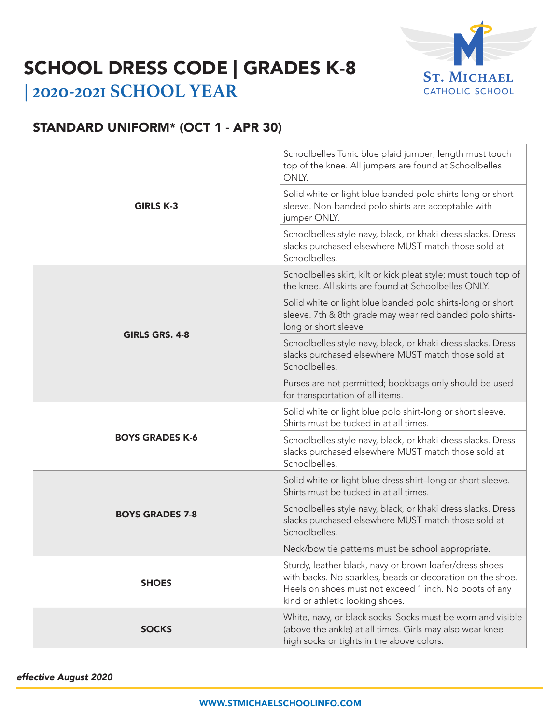

# SCHOOL DRESS CODE | GRADES K-8

**| 2020-2021 SCHOOL YEAR**

### STANDARD UNIFORM\* (OCT 1 - APR 30)

| <b>GIRLS K-3</b>       | Schoolbelles Tunic blue plaid jumper; length must touch<br>top of the knee. All jumpers are found at Schoolbelles<br>ONLY.                                                                                        |
|------------------------|-------------------------------------------------------------------------------------------------------------------------------------------------------------------------------------------------------------------|
|                        | Solid white or light blue banded polo shirts-long or short<br>sleeve. Non-banded polo shirts are acceptable with<br>jumper ONLY.                                                                                  |
|                        | Schoolbelles style navy, black, or khaki dress slacks. Dress<br>slacks purchased elsewhere MUST match those sold at<br>Schoolbelles.                                                                              |
| <b>GIRLS GRS. 4-8</b>  | Schoolbelles skirt, kilt or kick pleat style; must touch top of<br>the knee. All skirts are found at Schoolbelles ONLY.                                                                                           |
|                        | Solid white or light blue banded polo shirts-long or short<br>sleeve. 7th & 8th grade may wear red banded polo shirts-<br>long or short sleeve                                                                    |
|                        | Schoolbelles style navy, black, or khaki dress slacks. Dress<br>slacks purchased elsewhere MUST match those sold at<br>Schoolbelles.                                                                              |
|                        | Purses are not permitted; bookbags only should be used<br>for transportation of all items.                                                                                                                        |
| <b>BOYS GRADES K-6</b> | Solid white or light blue polo shirt-long or short sleeve.<br>Shirts must be tucked in at all times.                                                                                                              |
|                        | Schoolbelles style navy, black, or khaki dress slacks. Dress<br>slacks purchased elsewhere MUST match those sold at<br>Schoolbelles.                                                                              |
| <b>BOYS GRADES 7-8</b> | Solid white or light blue dress shirt-long or short sleeve.<br>Shirts must be tucked in at all times.                                                                                                             |
|                        | Schoolbelles style navy, black, or khaki dress slacks. Dress<br>slacks purchased elsewhere MUST match those sold at<br>Schoolbelles.                                                                              |
|                        | Neck/bow tie patterns must be school appropriate.                                                                                                                                                                 |
| <b>SHOES</b>           | Sturdy, leather black, navy or brown loafer/dress shoes<br>with backs. No sparkles, beads or decoration on the shoe.<br>Heels on shoes must not exceed 1 inch. No boots of any<br>kind or athletic looking shoes. |
| <b>SOCKS</b>           | White, navy, or black socks. Socks must be worn and visible<br>(above the ankle) at all times. Girls may also wear knee<br>high socks or tights in the above colors.                                              |

*effective August 2020*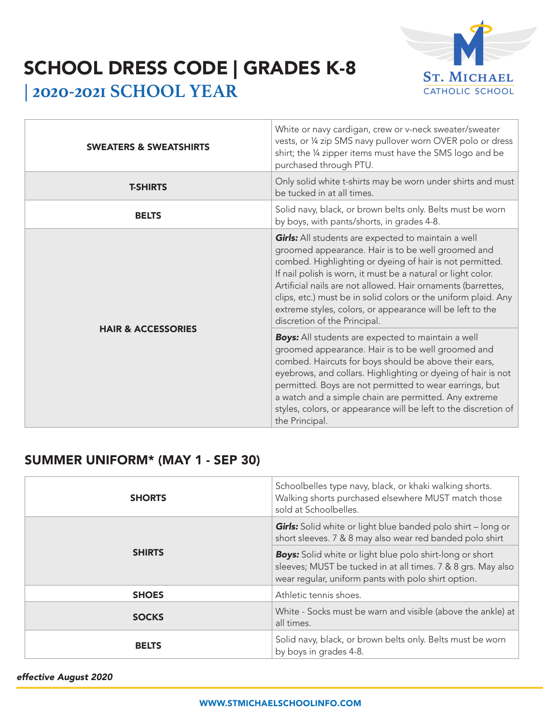

## SCHOOL DRESS CODE | GRADES K-8

**| 2020-2021 SCHOOL YEAR**

| <b>SWEATERS &amp; SWEATSHIRTS</b> | White or navy cardigan, crew or v-neck sweater/sweater<br>vests, or 1/4 zip SMS navy pullover worn OVER polo or dress<br>shirt; the 1/4 zipper items must have the SMS logo and be<br>purchased through PTU.                                                                                                                                                                                                                                                                |
|-----------------------------------|-----------------------------------------------------------------------------------------------------------------------------------------------------------------------------------------------------------------------------------------------------------------------------------------------------------------------------------------------------------------------------------------------------------------------------------------------------------------------------|
| <b>T-SHIRTS</b>                   | Only solid white t-shirts may be worn under shirts and must<br>be tucked in at all times.                                                                                                                                                                                                                                                                                                                                                                                   |
| <b>BELTS</b>                      | Solid navy, black, or brown belts only. Belts must be worn<br>by boys, with pants/shorts, in grades 4-8.                                                                                                                                                                                                                                                                                                                                                                    |
| <b>HAIR &amp; ACCESSORIES</b>     | <b>Girls:</b> All students are expected to maintain a well<br>groomed appearance. Hair is to be well groomed and<br>combed. Highlighting or dyeing of hair is not permitted.<br>If nail polish is worn, it must be a natural or light color.<br>Artificial nails are not allowed. Hair ornaments (barrettes,<br>clips, etc.) must be in solid colors or the uniform plaid. Any<br>extreme styles, colors, or appearance will be left to the<br>discretion of the Principal. |
|                                   | <b>Boys:</b> All students are expected to maintain a well<br>groomed appearance. Hair is to be well groomed and<br>combed. Haircuts for boys should be above their ears,<br>eyebrows, and collars. Highlighting or dyeing of hair is not<br>permitted. Boys are not permitted to wear earrings, but<br>a watch and a simple chain are permitted. Any extreme<br>styles, colors, or appearance will be left to the discretion of<br>the Principal.                           |

### SUMMER UNIFORM\* (MAY 1 - SEP 30)

| <b>SHORTS</b> | Schoolbelles type navy, black, or khaki walking shorts.<br>Walking shorts purchased elsewhere MUST match those<br>sold at Schoolbelles.                                                |
|---------------|----------------------------------------------------------------------------------------------------------------------------------------------------------------------------------------|
| <b>SHIRTS</b> | <b>Girls:</b> Solid white or light blue banded polo shirt - long or<br>short sleeves. 7 & 8 may also wear red banded polo shirt                                                        |
|               | <b>Boys:</b> Solid white or light blue polo shirt-long or short<br>sleeves; MUST be tucked in at all times. 7 & 8 grs. May also<br>wear regular, uniform pants with polo shirt option. |
| <b>SHOES</b>  | Athletic tennis shoes.                                                                                                                                                                 |
| <b>SOCKS</b>  | White - Socks must be warn and visible (above the ankle) at<br>all times.                                                                                                              |
| <b>BELTS</b>  | Solid navy, black, or brown belts only. Belts must be worn<br>by boys in grades 4-8.                                                                                                   |

*effective August 2020*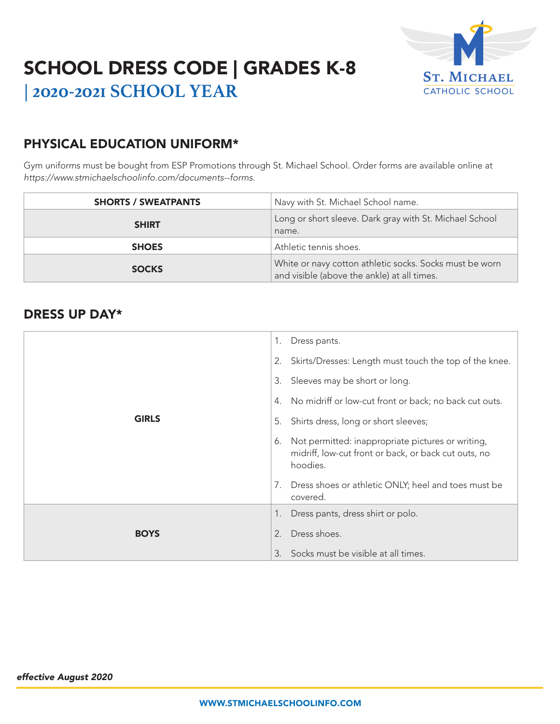

### SCHOOL DRESS CODE | GRADES K-8 **| 2020-2021 SCHOOL YEAR**

### PHYSICAL EDUCATION UNIFORM\*

Gym uniforms must be bought from ESP Promotions through St. Michael School. Order forms are available online at *https://www.stmichaelschoolinfo.com/documents--forms.*

| <b>SHORTS / SWEATPANTS</b> | Navy with St. Michael School name.                                                                     |
|----------------------------|--------------------------------------------------------------------------------------------------------|
| <b>SHIRT</b>               | Long or short sleeve. Dark gray with St. Michael School<br>name.                                       |
| <b>SHOES</b>               | Athletic tennis shoes.                                                                                 |
| <b>SOCKS</b>               | White or navy cotton athletic socks. Socks must be worn<br>and visible (above the ankle) at all times. |

#### DRESS UP DAY\*

|              | 1. | Dress pants.                                                                                                          |
|--------------|----|-----------------------------------------------------------------------------------------------------------------------|
|              | 2. | Skirts/Dresses: Length must touch the top of the knee.                                                                |
|              | 3. | Sleeves may be short or long.                                                                                         |
|              | 4. | No midriff or low-cut front or back; no back cut outs.                                                                |
| <b>GIRLS</b> | 5. | Shirts dress, long or short sleeves;                                                                                  |
|              | 6. | Not permitted: inappropriate pictures or writing,<br>midriff, low-cut front or back, or back cut outs, no<br>hoodies. |
|              | 7. | Dress shoes or athletic ONLY; heel and toes must be<br>covered.                                                       |
|              | 1. | Dress pants, dress shirt or polo.                                                                                     |
| <b>BOYS</b>  | 2. | Dress shoes.                                                                                                          |
|              | 3. | Socks must be visible at all times.                                                                                   |